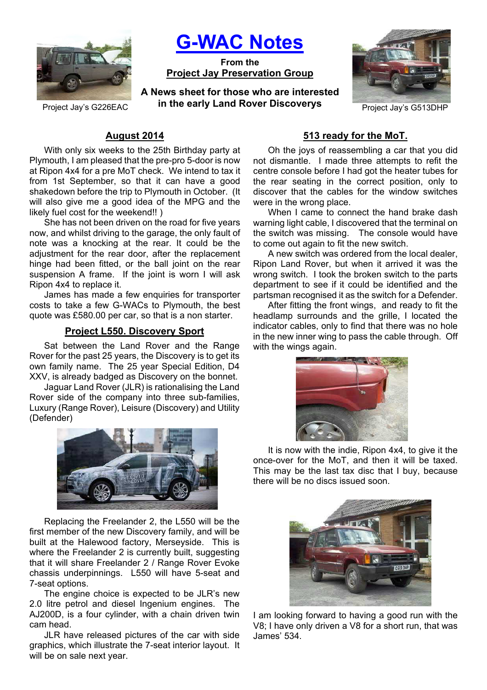

**G-WAC Notes**

**From the Project Jay Preservation Group**

Project Jay's G226EAC **In the early Land Rover Discoverys** Project Jay's G513DHP **A News sheet for those who are interested in the early Land Rover Discoverys**



# **August 2014**

With only six weeks to the 25th Birthday party at Plymouth, I am pleased that the pre-pro 5-door is now at Ripon 4x4 for a pre MoT check. We intend to tax it from 1st September, so that it can have a good shakedown before the trip to Plymouth in October. (It will also give me a good idea of the MPG and the likely fuel cost for the weekend!! )

She has not been driven on the road for five years now, and whilst driving to the garage, the only fault of note was a knocking at the rear. It could be the adjustment for the rear door, after the replacement hinge had been fitted, or the ball joint on the rear suspension A frame. If the joint is worn I will ask Ripon 4x4 to replace it.

James has made a few enquiries for transporter costs to take a few G-WACs to Plymouth, the best quote was £580.00 per car, so that is a non starter.

## **Project L550. Discovery Sport**

Sat between the Land Rover and the Range Rover for the past 25 years, the Discovery is to get its own family name. The 25 year Special Edition, D4 XXV, is already badged as Discovery on the bonnet.

Jaguar Land Rover (JLR) is rationalising the Land Rover side of the company into three sub-families, Luxury (Range Rover), Leisure (Discovery) and Utility (Defender)



Replacing the Freelander 2, the L550 will be the first member of the new Discovery family, and will be built at the Halewood factory, Merseyside. This is where the Freelander 2 is currently built, suggesting that it will share Freelander 2 / Range Rover Evoke chassis underpinnings. L550 will have 5-seat and 7-seat options.

The engine choice is expected to be JLR's new 2.0 litre petrol and diesel Ingenium engines. The AJ200D, is a four cylinder, with a chain driven twin cam head.

JLR have released pictures of the car with side graphics, which illustrate the 7-seat interior layout. It will be on sale next year.

## **513 ready for the MoT.**

Oh the joys of reassembling a car that you did not dismantle. I made three attempts to refit the centre console before I had got the heater tubes for the rear seating in the correct position, only to discover that the cables for the window switches were in the wrong place.

When I came to connect the hand brake dash warning light cable, I discovered that the terminal on the switch was missing. The console would have to come out again to fit the new switch.

A new switch was ordered from the local dealer, Ripon Land Rover, but when it arrived it was the wrong switch. I took the broken switch to the parts department to see if it could be identified and the partsman recognised it as the switch for a Defender.

After fitting the front wings, and ready to fit the headlamp surrounds and the grille, I located the indicator cables, only to find that there was no hole in the new inner wing to pass the cable through. Off with the wings again.



It is now with the indie, Ripon 4x4, to give it the once-over for the MoT, and then it will be taxed. This may be the last tax disc that I buy, because there will be no discs issued soon.



I am looking forward to having a good run with the V8; I have only driven a V8 for a short run, that was James' 534.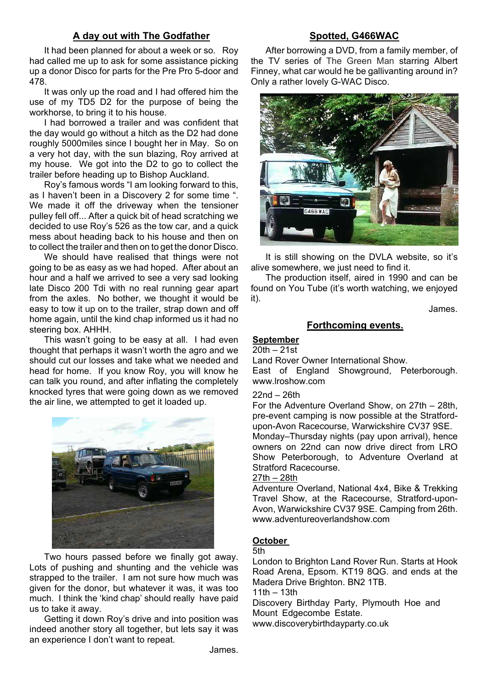## **A day out with The Godfather**

It had been planned for about a week or so. Roy had called me up to ask for some assistance picking up a donor Disco for parts for the Pre Pro 5-door and 478.

It was only up the road and I had offered him the use of my TD5 D2 for the purpose of being the workhorse, to bring it to his house.

I had borrowed a trailer and was confident that the day would go without a hitch as the D2 had done roughly 5000miles since I bought her in May. So on a very hot day, with the sun blazing, Roy arrived at my house. We got into the D2 to go to collect the trailer before heading up to Bishop Auckland.

Roy's famous words "I am looking forward to this, as I haven't been in a Discovery 2 for some time ". We made it off the driveway when the tensioner pulley fell off... After a quick bit of head scratching we decided to use Roy's 526 as the tow car, and a quick mess about heading back to his house and then on to collect the trailer and then on to get the donor Disco.

We should have realised that things were not going to be as easy as we had hoped. After about an hour and a half we arrived to see a very sad looking late Disco 200 Tdi with no real running gear apart from the axles. No bother, we thought it would be easy to tow it up on to the trailer, strap down and off home again, until the kind chap informed us it had no steering box. AHHH.

This wasn't going to be easy at all. I had even thought that perhaps it wasn't worth the agro and we should cut our losses and take what we needed and head for home. If you know Roy, you will know he can talk you round, and after inflating the completely knocked tyres that were going down as we removed the air line, we attempted to get it loaded up.



Two hours passed before we finally got away. Lots of pushing and shunting and the vehicle was strapped to the trailer. I am not sure how much was given for the donor, but whatever it was, it was too much. I think the 'kind chap' should really have paid us to take it away.

Getting it down Roy's drive and into position was indeed another story all together, but lets say it was an experience I don't want to repeat.

# **Spotted, G466WAC**

After borrowing a DVD, from a family member, of the TV series of The Green Man starring Albert Finney, what car would he be gallivanting around in? Only a rather lovely G-WAC Disco.



It is still showing on the DVLA website, so it's alive somewhere, we just need to find it.

The production itself, aired in 1990 and can be found on You Tube (it's worth watching, we enjoyed it).

James.

## **Forthcoming events.**

#### **September**

20th – 21st

Land Rover Owner International Show. East of England Showground, Peterborough. www.lroshow.com

#### 22nd – 26th

For the Adventure Overland Show, on 27th – 28th, pre-event camping is now possible at the Stratfordupon-Avon Racecourse, Warwickshire CV37 9SE. Monday–Thursday nights (pay upon arrival), hence owners on 22nd can now drive direct from LRO Show Peterborough, to Adventure Overland at Stratford Racecourse.

#### 27th – 28th

Adventure Overland, National 4x4, Bike & Trekking Travel Show, at the Racecourse, Stratford-upon-Avon, Warwickshire CV37 9SE. Camping from 26th. www.adventureoverlandshow.com

## **October**

5th

London to Brighton Land Rover Run. Starts at Hook Road Arena, Epsom. KT19 8QG. and ends at the Madera Drive Brighton. BN2 1TB.

11th – 13th

Discovery Birthday Party, Plymouth Hoe and Mount Edgecombe Estate.

www.discoverybirthdayparty.co.uk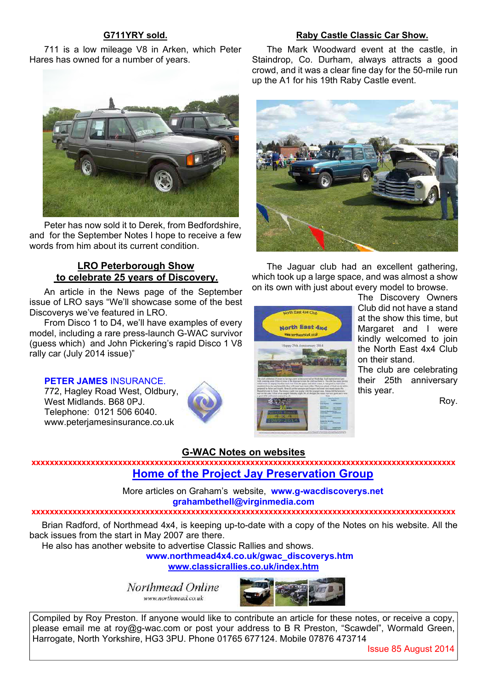## **G711YRY sold.**

## **Raby Castle Classic Car Show.** The Mark Woodward event at the castle, in

The Jaguar club had an excellent gathering, which took up a large space, and was almost a show on its own with just about every model to browse.

Staindrop, Co. Durham, always attracts a good crowd, and it was a clear fine day for the 50-mile run

up the A1 for his 19th Raby Castle event.

711 is a low mileage V8 in Arken, which Peter Hares has owned for a number of years.



Peter has now sold it to Derek, from Bedfordshire, and for the September Notes I hope to receive a few words from him about its current condition.

## **LRO Peterborough Show to celebrate 25 years of Discovery.**

An article in the News page of the September issue of LRO says "We'll showcase some of the best Discoverys we've featured in LRO.

From Disco 1 to D4, we'll have examples of every model, including a rare press-launch G-WAC survivor (guess which) and John Pickering's rapid Disco 1 V8 rally car (July 2014 issue)"

## **PETER JAMES** INSURANCE.

772, Hagley Road West, Oldbury, West Midlands. B68 0PJ. Telephone: 0121 506 6040. www.peterjamesinsurance.co.uk



# orth East 4x4 CM Morth East 4w

The Discovery Owners Club did not have a stand at the show this time, but Margaret and I were kindly welcomed to join the North East 4x4 Club on their stand.

The club are celebrating their 25th anniversary this year.

Roy.

## **G-WAC Notes on websites**

**xxxxxxxxxxxxxxxxxxxxxxxxxxxxxxxxxxxxxxxxxxxxxxxxxxxxxxxxxxxxxxxxxxxxxxxxxxxxxxxxxxxxxxxxxxxxx Home of the Project Jay Preservation Group**

> More articles on Graham's website, **www.g-wacdiscoverys.net grahambethell@virginmedia.com**

#### **xxxxxxxxxxxxxxxxxxxxxxxxxxxxxxxxxxxxxxxxxxxxxxxxxxxxxxxxxxxxxxxxxxxxxxxxxxxxxxxxxxxxxxxxxxxxx**

Brian Radford, of Northmead 4x4, is keeping up-to-date with a copy of the Notes on his website. All the back issues from the start in May 2007 are there.

He also has another website to advertise Classic Rallies and shows.

**www.northmead4x4.co.uk/gwac\_discoverys.htm www.classicrallies.co.uk/index.htm**

Northmead Online

www.northmead.co.uk



Compiled by Roy Preston. If anyone would like to contribute an article for these notes, or receive a copy, please email me at roy@g-wac.com or post your address to B R Preston, "Scawdel", Wormald Green, Harrogate, North Yorkshire, HG3 3PU. Phone 01765 677124. Mobile 07876 473714

Issue 85 August 2014